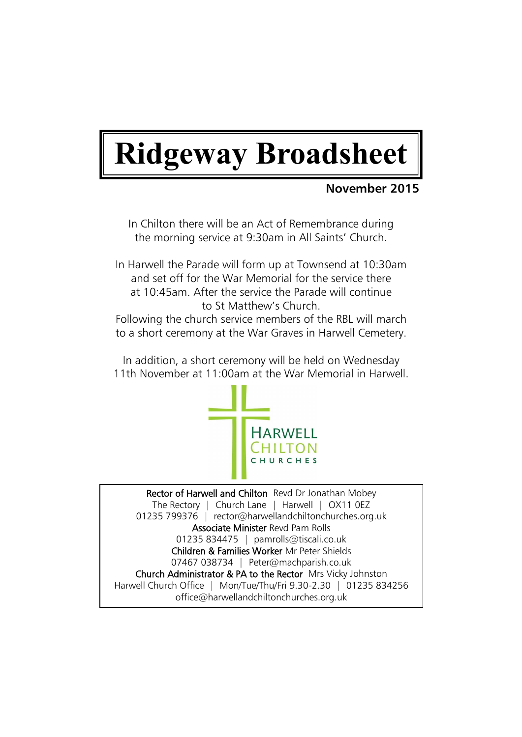# **Ridgeway Broadsheet**

# **November 2015**

In Chilton there will be an Act of Remembrance during the morning service at 9:30am in All Saints' Church.

In Harwell the Parade will form up at Townsend at 10:30am and set off for the War Memorial for the service there at 10:45am. After the service the Parade will continue to St Matthew's Church.

Following the church service members of the RBL will march to a short ceremony at the War Graves in Harwell Cemetery.

In addition, a short ceremony will be held on Wednesday 11th November at 11:00am at the War Memorial in Harwell.



Rector of Harwell and Chilton Revd Dr Jonathan Mobey The Rectory | Church Lane | Harwell | OX11 0EZ 01235 799376 | rector@harwellandchiltonchurches.org.uk Associate Minister Revd Pam Rolls 01235 834475 | pamrolls@tiscali.co.uk Children & Families Worker Mr Peter Shields 07467 038734 | Peter@machparish.co.uk Church Administrator & PA to the Rector Mrs Vicky Johnston Harwell Church Office | Mon/Tue/Thu/Fri 9.30-2.30 | 01235 834256 office@harwellandchiltonchurches.org.uk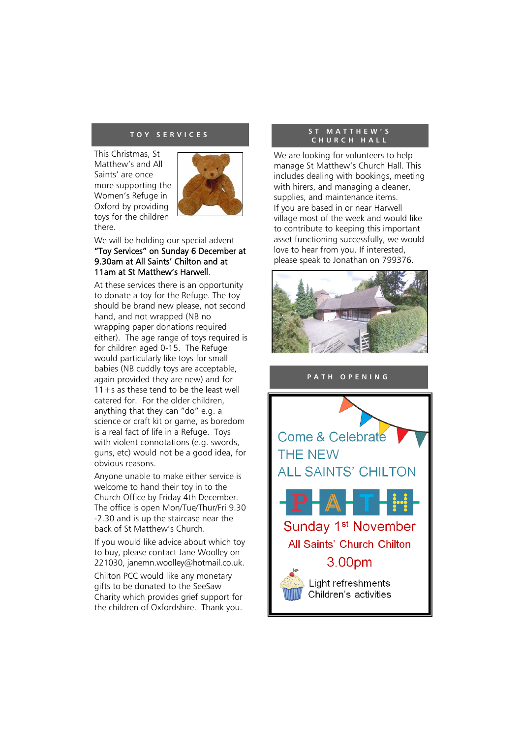#### **T O Y S E R V I C E S**

This Christmas, St Matthew's and All Saints' are once more supporting the Women's Refuge in Oxford by providing toys for the children there.



We will be holding our special advent "Toy Services" on Sunday 6 December at 9.30am at All Saints' Chilton and at 11am at St Matthew's Harwell.

At these services there is an opportunity to donate a toy for the Refuge. The toy should be brand new please, not second hand, and not wrapped (NB no wrapping paper donations required either). The age range of toys required is for children aged 0-15. The Refuge would particularly like toys for small babies (NB cuddly toys are acceptable, again provided they are new) and for  $11+s$  as these tend to be the least well catered for. For the older children, anything that they can "do" e.g. a science or craft kit or game, as boredom is a real fact of life in a Refuge. Toys with violent connotations (e.g. swords, guns, etc) would not be a good idea, for obvious reasons.

Anyone unable to make either service is welcome to hand their toy in to the Church Office by Friday 4th December. The office is open Mon/Tue/Thur/Fri 9.30 -2.30 and is up the staircase near the back of St Matthew's Church.

If you would like advice about which toy to buy, please contact Jane Woolley on 221030, janemn.woolley@hotmail.co.uk.

Chilton PCC would like any monetary gifts to be donated to the SeeSaw Charity which provides grief support for the children of Oxfordshire. Thank you.

#### **S T M A T T H E W ' S C H U R C H H A L L**

We are looking for volunteers to help manage St Matthew's Church Hall. This includes dealing with bookings, meeting with hirers, and managing a cleaner, supplies, and maintenance items. If you are based in or near Harwell village most of the week and would like to contribute to keeping this important asset functioning successfully, we would love to hear from you. If interested, please speak to Jonathan on 799376.



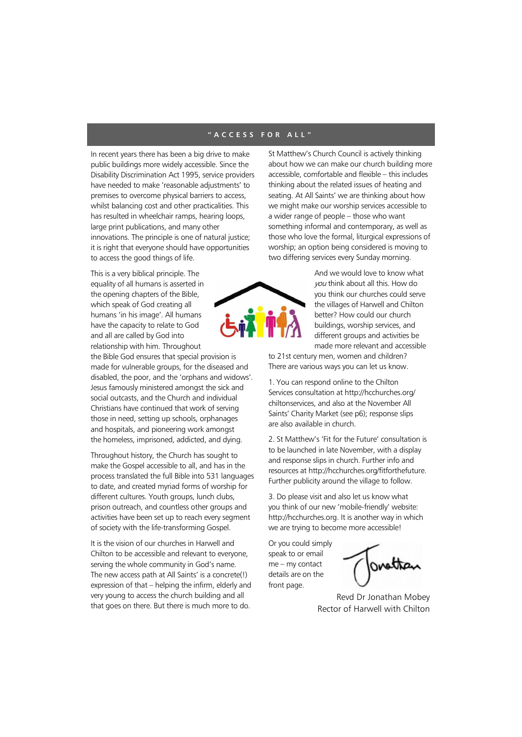#### **" A C C E S S F O R A L L "**

In recent years there has been a big drive to make public buildings more widely accessible. Since the Disability Discrimination Act 1995, service providers have needed to make 'reasonable adjustments' to premises to overcome physical barriers to access, whilst balancing cost and other practicalities. This has resulted in wheelchair ramps, hearing loops, large print publications, and many other innovations. The principle is one of natural justice; it is right that everyone should have opportunities to access the good things of life.

This is a very biblical principle. The equality of all humans is asserted in the opening chapters of the Bible, which speak of God creating all humans 'in his image'. All humans have the capacity to relate to God and all are called by God into relationship with him. Throughout

the Bible God ensures that special provision is made for vulnerable groups, for the diseased and disabled, the poor, and the 'orphans and widows'. Jesus famously ministered amongst the sick and social outcasts, and the Church and individual Christians have continued that work of serving those in need, setting up schools, orphanages and hospitals, and pioneering work amongst the homeless, imprisoned, addicted, and dying.

Throughout history, the Church has sought to make the Gospel accessible to all, and has in the process translated the full Bible into 531 languages to date, and created myriad forms of worship for different cultures. Youth groups, lunch clubs, prison outreach, and countless other groups and activities have been set up to reach every segment of society with the life-transforming Gospel.

It is the vision of our churches in Harwell and Chilton to be accessible and relevant to everyone, serving the whole community in God's name. The new access path at All Saints' is a concrete(!) expression of that – helping the infirm, elderly and very young to access the church building and all that goes on there. But there is much more to do.

St Matthew's Church Council is actively thinking about how we can make our church building more accessible, comfortable and flexible – this includes thinking about the related issues of heating and seating. At All Saints' we are thinking about how we might make our worship services accessible to a wider range of people – those who want something informal and contemporary, as well as those who love the formal, liturgical expressions of worship; an option being considered is moving to two differing services every Sunday morning.



And we would love to know what you think about all this. How do you think our churches could serve the villages of Harwell and Chilton better? How could our church buildings, worship services, and different groups and activities be made more relevant and accessible

to 21st century men, women and children? There are various ways you can let us know.

1. You can respond online to the Chilton Services consultation at http://hcchurches.org/ chiltonservices, and also at the November All Saints' Charity Market (see p6); response slips are also available in church.

2. St Matthew's 'Fit for the Future' consultation is to be launched in late November, with a display and response slips in church. Further info and resources at http://hcchurches.org/fitforthefuture. Further publicity around the village to follow.

3. Do please visit and also let us know what you think of our new 'mobile-friendly' website: http://hcchurches.org. It is another way in which we are trying to become more accessible!

Or you could simply speak to or email me – my contact details are on the front page.

Revd Dr Jonathan Mobey Rector of Harwell with Chilton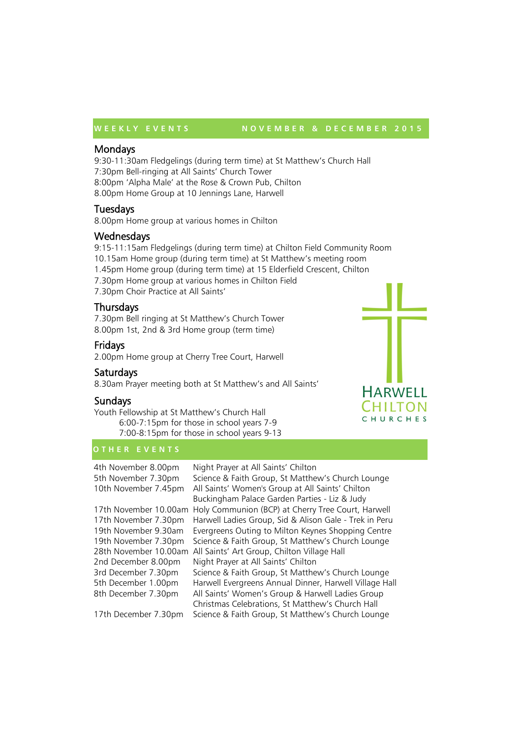#### W E E K L Y E V E N T S N O V E M B E R & D E C E M B E R 2015

## Mondays

9:30-11:30am Fledgelings (during term time) at St Matthew's Church Hall 7:30pm Bell-ringing at All Saints' Church Tower 8:00pm 'Alpha Male' at the Rose & Crown Pub, Chilton

8.00pm Home Group at 10 Jennings Lane, Harwell

# Tuesdays

8.00pm Home group at various homes in Chilton

# **Wednesdays**

9:15-11:15am Fledgelings (during term time) at Chilton Field Community Room 10.15am Home group (during term time) at St Matthew's meeting room 1.45pm Home group (during term time) at 15 Elderfield Crescent, Chilton 7.30pm Home group at various homes in Chilton Field 7.30pm Choir Practice at All Saints'

# **Thursdays**

7.30pm Bell ringing at St Matthew's Church Tower 8.00pm 1st, 2nd & 3rd Home group (term time)

# Fridays

2.00pm Home group at Cherry Tree Court, Harwell

# Saturdays

8.30am Prayer meeting both at St Matthew's and All Saints'

# Sundays

Youth Fellowship at St Matthew's Church Hall 6:00-7:15pm for those in school years 7-9 7:00-8:15pm for those in school years 9-13

## **O T H E R E V E N T S**

4th November 8.00pm Night Prayer at All Saints' Chilton 5th November 7.30pm Science & Faith Group, St Matthew's Church Lounge 10th November 7.45pm All Saints' Women's Group at All Saints' Chilton Buckingham Palace Garden Parties - Liz & Judy 17th November 10.00am Holy Communion (BCP) at Cherry Tree Court, Harwell 17th November 7.30pm Harwell Ladies Group, Sid & Alison Gale - Trek in Peru 19th November 9.30am Evergreens Outing to Milton Keynes Shopping Centre 19th November 7.30pm Science & Faith Group, St Matthew's Church Lounge 28th November 10.00am All Saints' Art Group, Chilton Village Hall 2nd December 8.00pm Night Prayer at All Saints' Chilton 3rd December 7.30pm Science & Faith Group, St Matthew's Church Lounge 5th December 1.00pm Harwell Evergreens Annual Dinner, Harwell Village Hall 8th December 7.30pm All Saints' Women's Group & Harwell Ladies Group Christmas Celebrations, St Matthew's Church Hall 17th December 7.30pm Science & Faith Group, St Matthew's Church Lounge

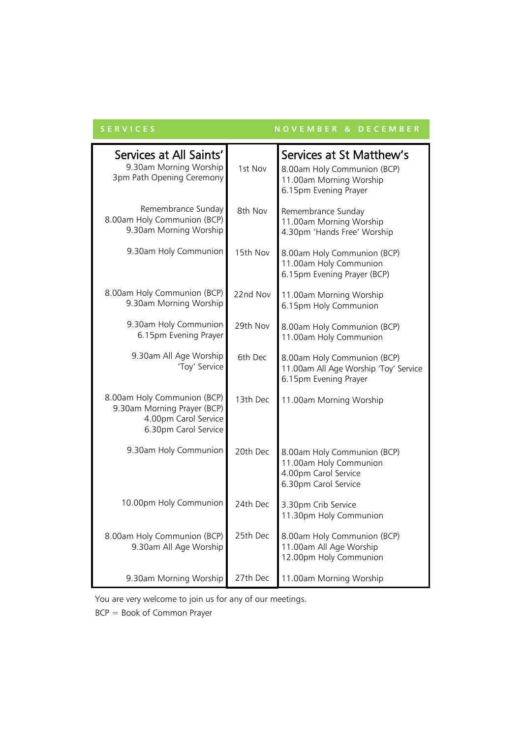| <b>SERVICES</b> |  |  |  |  |
|-----------------|--|--|--|--|
|                 |  |  |  |  |

# **S E R V I C E S N O V E M B E R & D E C E M B E R**

| Services at All Saints'<br>9.30am Morning Worship<br>3pm Path Opening Ceremony                             | 1st Nov  | Services at St Matthew's<br>8.00am Holy Communion (BCP)<br>11.00am Morning Worship<br>6.15pm Evening Prayer |  |
|------------------------------------------------------------------------------------------------------------|----------|-------------------------------------------------------------------------------------------------------------|--|
| Remembrance Sunday<br>8.00am Holy Communion (BCP)<br>9.30am Morning Worship                                | 8th Nov  | Remembrance Sunday<br>11.00am Morning Worship<br>4.30pm 'Hands Free' Worship                                |  |
| 9.30am Holy Communion                                                                                      | 15th Nov | 8.00am Holy Communion (BCP)<br>11.00am Holy Communion<br>6.15pm Evening Prayer (BCP)                        |  |
| 8.00am Holy Communion (BCP)<br>9.30am Morning Worship                                                      | 22nd Nov | 11.00am Morning Worship<br>6.15pm Holy Communion                                                            |  |
| 9.30am Holy Communion<br>6.15pm Evening Prayer                                                             | 29th Nov | 8.00am Holy Communion (BCP)<br>11.00am Holy Communion                                                       |  |
| 9.30am All Age Worship<br>'Toy' Service                                                                    | 6th Dec  | 8.00am Holy Communion (BCP)<br>11.00am All Age Worship 'Toy' Service<br>6.15pm Evening Prayer               |  |
| 8.00am Holy Communion (BCP)<br>9.30am Morning Prayer (BCP)<br>4.00pm Carol Service<br>6.30pm Carol Service | 13th Dec | 11.00am Morning Worship                                                                                     |  |
| 9.30am Holy Communion                                                                                      | 20th Dec | 8.00am Holy Communion (BCP)<br>11.00am Holy Communion<br>4.00pm Carol Service<br>6.30pm Carol Service       |  |
| 10.00pm Holy Communion                                                                                     | 24th Dec | 3.30pm Crib Service<br>11.30pm Holy Communion                                                               |  |
| 8.00am Holy Communion (BCP)<br>9.30am All Age Worship                                                      | 25th Dec | 8.00am Holy Communion (BCP)<br>11.00am All Age Worship<br>12.00pm Holy Communion                            |  |
| 9.30am Morning Worship                                                                                     | 27th Dec | 11.00am Morning Worship                                                                                     |  |

You are very welcome to join us for any of our meetings.

BCP = Book of Common Prayer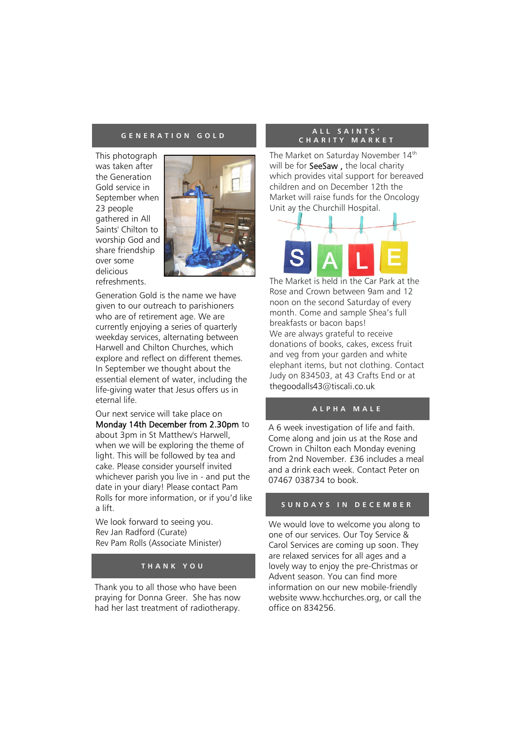This photograph was taken after the Generation Gold service in September when 23 people gathered in All Saints' Chilton to worship God and share friendship over some delicious refreshments.



Generation Gold is the name we have given to our outreach to parishioners who are of retirement age. We are currently enjoying a series of quarterly weekday services, alternating between Harwell and Chilton Churches, which explore and reflect on different themes. In September we thought about the essential element of water, including the life-giving water that Jesus offers us in eternal life.

Our next service will take place on Monday 14th December from 2.30pm to about 3pm in St Matthew's Harwell, when we will be exploring the theme of light. This will be followed by tea and cake. Please consider yourself invited whichever parish you live in - and put the date in your diary! Please contact Pam Rolls for more information, or if you'd like a lift.

We look forward to seeing you. Rev Jan Radford (Curate) Rev Pam Rolls (Associate Minister)

# **T H A N K Y O U**

Thank you to all those who have been praying for Donna Greer. She has now had her last treatment of radiotherapy.

#### **G E N E R A T I O N G O L D A L L S A I N T S ' C H A R I T Y M A R K E T**

The Market on Saturday November 14<sup>th</sup> will be for SeeSaw, the local charity which provides vital support for bereaved children and on December 12th the Market will raise funds for the Oncology Unit ay the Churchill Hospital.



The Market is held in the Car Park at the Rose and Crown between 9am and 12 noon on the second Saturday of every month. Come and sample Shea's full breakfasts or bacon baps! We are always grateful to receive donations of books, cakes, excess fruit and veg from your garden and white elephant items, but not clothing. Contact Judy on 834503, at 43 Crafts End or at [thegoodalls43@tiscali.co.uk](mailto:thegoodalls43@tiscali.co.uk)

# **A L P H A M A L E**

A 6 week investigation of life and faith. Come along and join us at the Rose and Crown in Chilton each Monday evening from 2nd November. £36 includes a meal and a drink each week. Contact Peter on 07467 038734 to book.

# **S U N D A Y S I N D E C E M B E R**

We would love to welcome you along to one of our services. Our Toy Service & Carol Services are coming up soon. They are relaxed services for all ages and a lovely way to enjoy the pre-Christmas or Advent season. You can find more information on our new mobile-friendly website www.hcchurches.org, or call the office on 834256.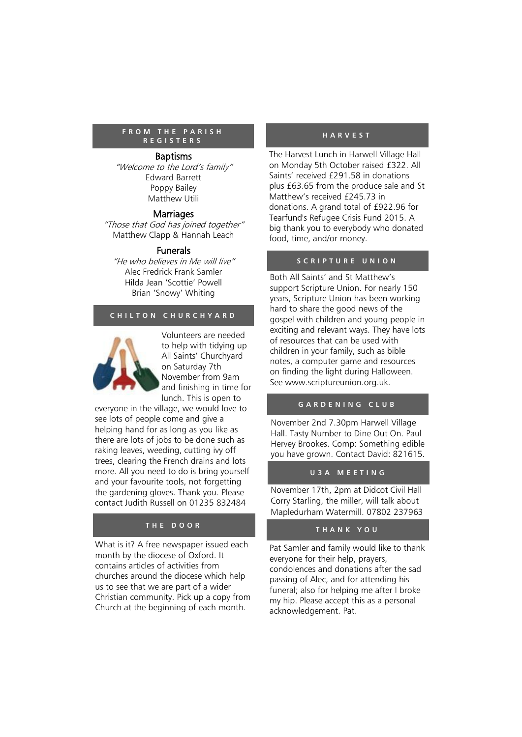#### F R O M THE PARISH **HARVEST R E G I S T E R S**

#### Baptisms

"Welcome to the Lord's family" Edward Barrett Poppy Bailey Matthew Utili

#### **Marriages**

"Those that God has joined together" Matthew Clapp & Hannah Leach

#### Funerals

"He who believes in Me will live" Alec Fredrick Frank Samler Hilda Jean 'Scottie' Powell Brian 'Snowy' Whiting

# **C H I L T O N C H U R C H Y A R D**



Volunteers are needed to help with tidying up All Saints' Churchyard on Saturday 7th November from 9am and finishing in time for lunch. This is open to

everyone in the village, we would love to see lots of people come and give a helping hand for as long as you like as there are lots of jobs to be done such as raking leaves, weeding, cutting ivy off trees, clearing the French drains and lots more. All you need to do is bring yourself and your favourite tools, not forgetting the gardening gloves. Thank you. Please contact Judith Russell on 01235 832484

## **T H E D O O R**

What is it? A free newspaper issued each month by the diocese of Oxford. It contains articles of activities from churches around the diocese which help us to see that we are part of a wider Christian community. Pick up a copy from Church at the beginning of each month.

The Harvest Lunch in Harwell Village Hall on Monday 5th October raised £322. All Saints' received £291.58 in donations plus £63.65 from the produce sale and St Matthew's received £245.73 in donations. A grand total of £922.96 for Tearfund's Refugee Crisis Fund 2015. A big thank you to everybody who donated food, time, and/or money.

### **S C R I P T U R E U N I O N**

Both All Saints' and St Matthew's support Scripture Union. For nearly 150 years, Scripture Union has been working hard to share the good news of the gospel with children and young people in exciting and relevant ways. They have lots of resources that can be used with children in your family, such as bible notes, a computer game and resources on finding the light during Halloween. See www[.scriptureunion.org.uk.](http://www.scriptureunion.org.uk/)

## **G A R D E N I N G C L U B**

November 2nd 7.30pm Harwell Village Hall. Tasty Number to Dine Out On. Paul Hervey Brookes. Comp: Something edible you have grown. Contact David: 821615.

#### **U 3 A M E E T I N G**

November 17th, 2pm at Didcot Civil Hall Corry Starling, the miller, will talk about Mapledurham Watermill. 07802 237963

#### **T H A N K Y O U**

Pat Samler and family would like to thank everyone for their help, prayers, condolences and donations after the sad passing of Alec, and for attending his funeral; also for helping me after I broke my hip. Please accept this as a personal acknowledgement. Pat.